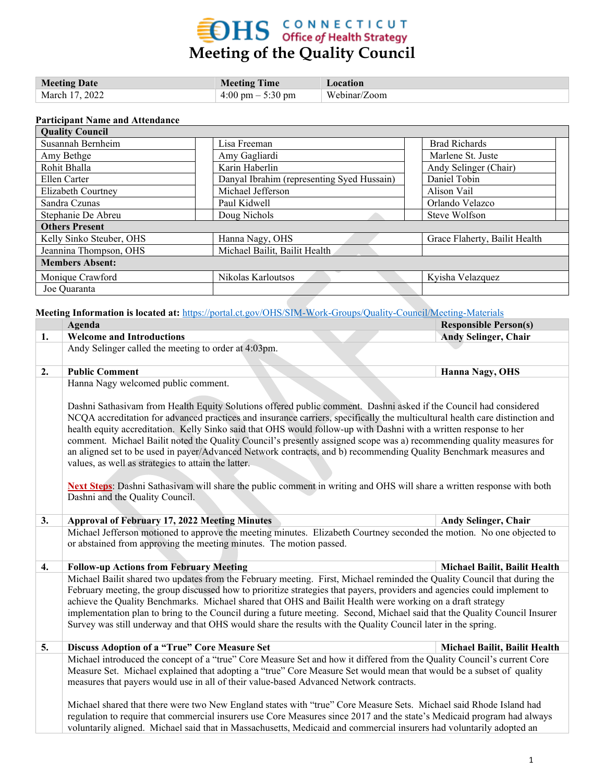# **OHS** CONNECTICUT **Meeting of the Quality Council**

| <b>Meeting Date</b> | <b>Meeting Time</b>                 | Location     |
|---------------------|-------------------------------------|--------------|
| March 17, 2022      | $4:00 \text{ pm} - 5:30 \text{ pm}$ | Webinar/Zoom |

#### **Participant Name and Attendance**

| <b>Quality Council</b>   |                                            |                               |  |  |  |  |  |  |
|--------------------------|--------------------------------------------|-------------------------------|--|--|--|--|--|--|
| Susannah Bernheim        | Lisa Freeman                               | <b>Brad Richards</b>          |  |  |  |  |  |  |
| Amy Bethge               | Amy Gagliardi                              | Marlene St. Juste             |  |  |  |  |  |  |
| Rohit Bhalla             | Karin Haberlin                             | Andy Selinger (Chair)         |  |  |  |  |  |  |
| Ellen Carter             | Danyal Ibrahim (representing Syed Hussain) | Daniel Tobin                  |  |  |  |  |  |  |
| Elizabeth Courtney       | Michael Jefferson                          | Alison Vail                   |  |  |  |  |  |  |
| Sandra Czunas            | Paul Kidwell                               | Orlando Velazco               |  |  |  |  |  |  |
| Stephanie De Abreu       | Doug Nichols                               | Steve Wolfson                 |  |  |  |  |  |  |
| <b>Others Present</b>    |                                            |                               |  |  |  |  |  |  |
| Kelly Sinko Steuber, OHS | Hanna Nagy, OHS                            | Grace Flaherty, Bailit Health |  |  |  |  |  |  |
| Jeannina Thompson, OHS   | Michael Bailit, Bailit Health              |                               |  |  |  |  |  |  |
| <b>Members Absent:</b>   |                                            |                               |  |  |  |  |  |  |
| Monique Crawford         | Nikolas Karloutsos                         | Kyisha Velazquez              |  |  |  |  |  |  |
| Joe Quaranta             |                                            |                               |  |  |  |  |  |  |

**Meeting Information is located at:** <https://portal.ct.gov/OHS/SIM-Work-Groups/Quality-Council/Meeting-Materials>

|    | Agenda                                                                                                                                                                                                                                                                                                                                                                                                                                                                                                                                                                                                                                                                                                                                                                                                                                                                          | <b>Responsible Person(s)</b>  |  |  |  |  |  |
|----|---------------------------------------------------------------------------------------------------------------------------------------------------------------------------------------------------------------------------------------------------------------------------------------------------------------------------------------------------------------------------------------------------------------------------------------------------------------------------------------------------------------------------------------------------------------------------------------------------------------------------------------------------------------------------------------------------------------------------------------------------------------------------------------------------------------------------------------------------------------------------------|-------------------------------|--|--|--|--|--|
| 1. | <b>Welcome and Introductions</b>                                                                                                                                                                                                                                                                                                                                                                                                                                                                                                                                                                                                                                                                                                                                                                                                                                                | <b>Andy Selinger, Chair</b>   |  |  |  |  |  |
|    | Andy Selinger called the meeting to order at 4:03pm.                                                                                                                                                                                                                                                                                                                                                                                                                                                                                                                                                                                                                                                                                                                                                                                                                            |                               |  |  |  |  |  |
| 2. | <b>Public Comment</b>                                                                                                                                                                                                                                                                                                                                                                                                                                                                                                                                                                                                                                                                                                                                                                                                                                                           | Hanna Nagy, OHS               |  |  |  |  |  |
|    | Hanna Nagy welcomed public comment.<br>Dashni Sathasivam from Health Equity Solutions offered public comment. Dashni asked if the Council had considered<br>NCQA accreditation for advanced practices and insurance carriers, specifically the multicultural health care distinction and<br>health equity accreditation. Kelly Sinko said that OHS would follow-up with Dashni with a written response to her<br>comment. Michael Bailit noted the Quality Council's presently assigned scope was a) recommending quality measures for<br>an aligned set to be used in payer/Advanced Network contracts, and b) recommending Quality Benchmark measures and<br>values, as well as strategies to attain the latter.<br>Next Steps: Dashni Sathasivam will share the public comment in writing and OHS will share a written response with both<br>Dashni and the Quality Council. |                               |  |  |  |  |  |
| 3. | <b>Approval of February 17, 2022 Meeting Minutes</b>                                                                                                                                                                                                                                                                                                                                                                                                                                                                                                                                                                                                                                                                                                                                                                                                                            | Andy Selinger, Chair          |  |  |  |  |  |
|    | Michael Jefferson motioned to approve the meeting minutes. Elizabeth Courtney seconded the motion. No one objected to                                                                                                                                                                                                                                                                                                                                                                                                                                                                                                                                                                                                                                                                                                                                                           |                               |  |  |  |  |  |
|    | or abstained from approving the meeting minutes. The motion passed.                                                                                                                                                                                                                                                                                                                                                                                                                                                                                                                                                                                                                                                                                                                                                                                                             |                               |  |  |  |  |  |
| 4. | <b>Follow-up Actions from February Meeting</b>                                                                                                                                                                                                                                                                                                                                                                                                                                                                                                                                                                                                                                                                                                                                                                                                                                  | Michael Bailit, Bailit Health |  |  |  |  |  |
|    | Michael Bailit shared two updates from the February meeting. First, Michael reminded the Quality Council that during the<br>February meeting, the group discussed how to prioritize strategies that payers, providers and agencies could implement to<br>achieve the Quality Benchmarks. Michael shared that OHS and Bailit Health were working on a draft strategy<br>implementation plan to bring to the Council during a future meeting. Second, Michael said that the Quality Council Insurer<br>Survey was still underway and that OHS would share the results with the Quality Council later in the spring.                                                                                                                                                                                                                                                               |                               |  |  |  |  |  |

### **5. Discuss Adoption of a "True" Core Measure Set Michael Bailit, Bailit Health** Michael introduced the concept of a "true" Core Measure Set and how it differed from the Quality Council's current Core Measure Set. Michael explained that adopting a "true" Core Measure Set would mean that would be a subset of quality measures that payers would use in all of their value-based Advanced Network contracts. Michael shared that there were two New England states with "true" Core Measure Sets. Michael said Rhode Island had

regulation to require that commercial insurers use Core Measures since 2017 and the state's Medicaid program had always voluntarily aligned. Michael said that in Massachusetts, Medicaid and commercial insurers had voluntarily adopted an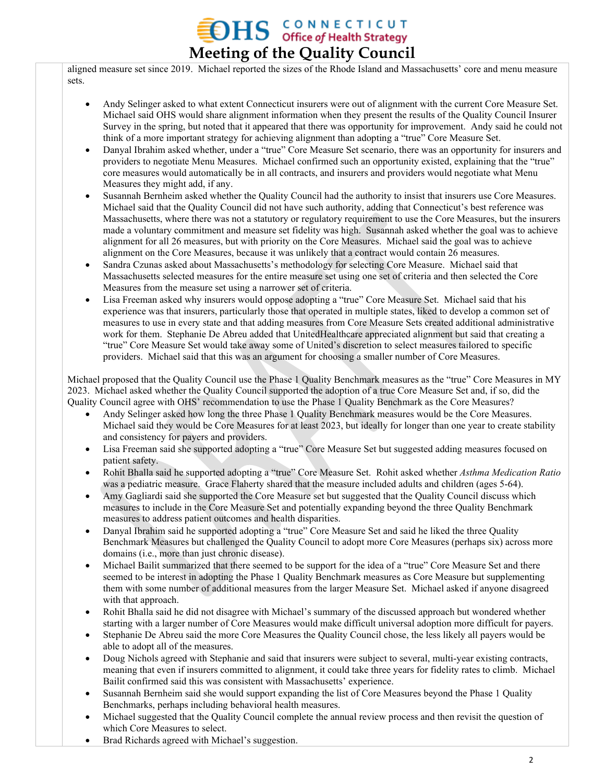## **OHS** CONNECTICUT **Meeting of the Quality Council**

aligned measure set since 2019. Michael reported the sizes of the Rhode Island and Massachusetts' core and menu measure sets.

- Andy Selinger asked to what extent Connecticut insurers were out of alignment with the current Core Measure Set. Michael said OHS would share alignment information when they present the results of the Quality Council Insurer Survey in the spring, but noted that it appeared that there was opportunity for improvement. Andy said he could not think of a more important strategy for achieving alignment than adopting a "true" Core Measure Set.
- Danyal Ibrahim asked whether, under a "true" Core Measure Set scenario, there was an opportunity for insurers and providers to negotiate Menu Measures. Michael confirmed such an opportunity existed, explaining that the "true" core measures would automatically be in all contracts, and insurers and providers would negotiate what Menu Measures they might add, if any.
- Susannah Bernheim asked whether the Quality Council had the authority to insist that insurers use Core Measures. Michael said that the Quality Council did not have such authority, adding that Connecticut's best reference was Massachusetts, where there was not a statutory or regulatory requirement to use the Core Measures, but the insurers made a voluntary commitment and measure set fidelity was high. Susannah asked whether the goal was to achieve alignment for all 26 measures, but with priority on the Core Measures. Michael said the goal was to achieve alignment on the Core Measures, because it was unlikely that a contract would contain 26 measures.
- Sandra Czunas asked about Massachusetts's methodology for selecting Core Measure. Michael said that Massachusetts selected measures for the entire measure set using one set of criteria and then selected the Core Measures from the measure set using a narrower set of criteria.
- Lisa Freeman asked why insurers would oppose adopting a "true" Core Measure Set. Michael said that his experience was that insurers, particularly those that operated in multiple states, liked to develop a common set of measures to use in every state and that adding measures from Core Measure Sets created additional administrative work for them. Stephanie De Abreu added that UnitedHealthcare appreciated alignment but said that creating a "true" Core Measure Set would take away some of United's discretion to select measures tailored to specific providers. Michael said that this was an argument for choosing a smaller number of Core Measures.

Michael proposed that the Quality Council use the Phase 1 Quality Benchmark measures as the "true" Core Measures in MY 2023. Michael asked whether the Quality Council supported the adoption of a true Core Measure Set and, if so, did the Quality Council agree with OHS' recommendation to use the Phase 1 Quality Benchmark as the Core Measures?

- Andy Selinger asked how long the three Phase 1 Quality Benchmark measures would be the Core Measures. Michael said they would be Core Measures for at least 2023, but ideally for longer than one year to create stability and consistency for payers and providers.
- Lisa Freeman said she supported adopting a "true" Core Measure Set but suggested adding measures focused on patient safety.
- Rohit Bhalla said he supported adopting a "true" Core Measure Set. Rohit asked whether *Asthma Medication Ratio* was a pediatric measure. Grace Flaherty shared that the measure included adults and children (ages 5-64).
- Amy Gagliardi said she supported the Core Measure set but suggested that the Quality Council discuss which measures to include in the Core Measure Set and potentially expanding beyond the three Quality Benchmark measures to address patient outcomes and health disparities.
- Danyal Ibrahim said he supported adopting a "true" Core Measure Set and said he liked the three Quality Benchmark Measures but challenged the Quality Council to adopt more Core Measures (perhaps six) across more domains (i.e., more than just chronic disease).
- Michael Bailit summarized that there seemed to be support for the idea of a "true" Core Measure Set and there seemed to be interest in adopting the Phase 1 Quality Benchmark measures as Core Measure but supplementing them with some number of additional measures from the larger Measure Set. Michael asked if anyone disagreed with that approach.
- Rohit Bhalla said he did not disagree with Michael's summary of the discussed approach but wondered whether starting with a larger number of Core Measures would make difficult universal adoption more difficult for payers.
- Stephanie De Abreu said the more Core Measures the Quality Council chose, the less likely all payers would be able to adopt all of the measures.
- Doug Nichols agreed with Stephanie and said that insurers were subject to several, multi-year existing contracts, meaning that even if insurers committed to alignment, it could take three years for fidelity rates to climb. Michael Bailit confirmed said this was consistent with Massachusetts' experience.
- Susannah Bernheim said she would support expanding the list of Core Measures beyond the Phase 1 Quality Benchmarks, perhaps including behavioral health measures.
- Michael suggested that the Quality Council complete the annual review process and then revisit the question of which Core Measures to select.
- Brad Richards agreed with Michael's suggestion.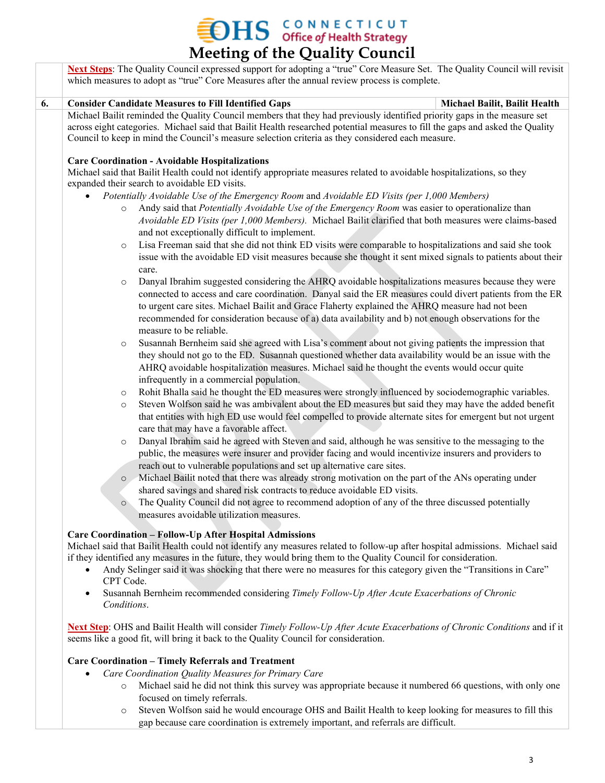$\sum_{\text{office of Health Strategy}}$ **Meeting of the Quality Council**

**Next Steps**: The Quality Council expressed support for adopting a "true" Core Measure Set. The Quality Council will revisit which measures to adopt as "true" Core Measures after the annual review process is complete. **6. Consider Candidate Measures to Fill Identified Gaps <b>Michael Bailit, Bailit Health** Michael Bailit reminded the Quality Council members that they had previously identified priority gaps in the measure set across eight categories. Michael said that Bailit Health researched potential measures to fill the gaps and asked the Quality Council to keep in mind the Council's measure selection criteria as they considered each measure. **Care Coordination - Avoidable Hospitalizations** Michael said that Bailit Health could not identify appropriate measures related to avoidable hospitalizations, so they expanded their search to avoidable ED visits. • *Potentially Avoidable Use of the Emergency Room* and *Avoidable ED Visits (per 1,000 Members)* o Andy said that *Potentially Avoidable Use of the Emergency Room* was easier to operationalize than *Avoidable ED Visits (per 1,000 Members).* Michael Bailit clarified that both measures were claims-based and not exceptionally difficult to implement. o Lisa Freeman said that she did not think ED visits were comparable to hospitalizations and said she took issue with the avoidable ED visit measures because she thought it sent mixed signals to patients about their care. o Danyal Ibrahim suggested considering the AHRQ avoidable hospitalizations measures because they were

- connected to access and care coordination. Danyal said the ER measures could divert patients from the ER to urgent care sites. Michael Bailit and Grace Flaherty explained the AHRQ measure had not been recommended for consideration because of a) data availability and b) not enough observations for the measure to be reliable.
- o Susannah Bernheim said she agreed with Lisa's comment about not giving patients the impression that they should not go to the ED. Susannah questioned whether data availability would be an issue with the AHRQ avoidable hospitalization measures. Michael said he thought the events would occur quite infrequently in a commercial population.
- o Rohit Bhalla said he thought the ED measures were strongly influenced by sociodemographic variables.
- o Steven Wolfson said he was ambivalent about the ED measures but said they may have the added benefit that entities with high ED use would feel compelled to provide alternate sites for emergent but not urgent care that may have a favorable affect.
- o Danyal Ibrahim said he agreed with Steven and said, although he was sensitive to the messaging to the public, the measures were insurer and provider facing and would incentivize insurers and providers to reach out to vulnerable populations and set up alternative care sites.
- o Michael Bailit noted that there was already strong motivation on the part of the ANs operating under shared savings and shared risk contracts to reduce avoidable ED visits.
- o The Quality Council did not agree to recommend adoption of any of the three discussed potentially measures avoidable utilization measures.

### **Care Coordination – Follow-Up After Hospital Admissions**

Michael said that Bailit Health could not identify any measures related to follow-up after hospital admissions. Michael said if they identified any measures in the future, they would bring them to the Quality Council for consideration.

- Andy Selinger said it was shocking that there were no measures for this category given the "Transitions in Care" CPT Code.
- Susannah Bernheim recommended considering *Timely Follow-Up After Acute Exacerbations of Chronic Conditions*.

**Next Step**: OHS and Bailit Health will consider *Timely Follow-Up After Acute Exacerbations of Chronic Conditions* and if it seems like a good fit, will bring it back to the Quality Council for consideration.

### **Care Coordination – Timely Referrals and Treatment**

- *Care Coordination Quality Measures for Primary Care*
	- o Michael said he did not think this survey was appropriate because it numbered 66 questions, with only one focused on timely referrals.
	- o Steven Wolfson said he would encourage OHS and Bailit Health to keep looking for measures to fill this gap because care coordination is extremely important, and referrals are difficult.